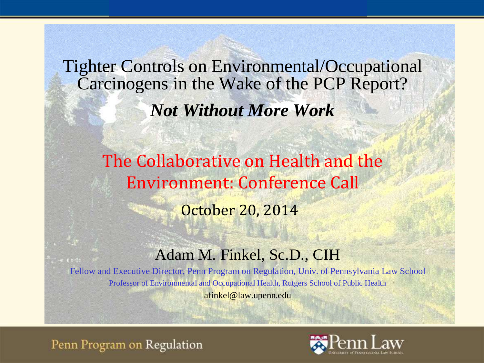Tighter Controls on Environmental/Occupational Carcinogens in the Wake of the PCP Report? *Not Without More Work*

> The Collaborative on Health and the Environment: Conference Call October 20, 2014

### Adam M. Finkel, Sc.D., CIH

Fellow and Executive Director, Penn Program on Regulation, Univ. of Pennsylvania Law School Professor of Environmental and Occupational Health, Rutgers School of Public Health afinkel@law.upenn.edu

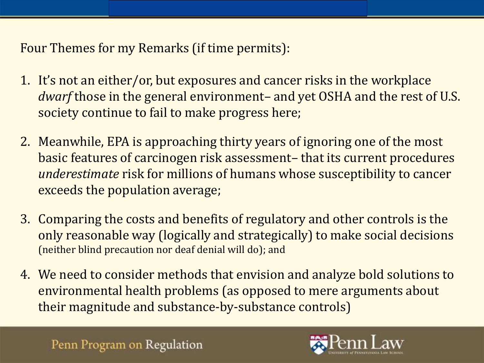Four Themes for my Remarks (if time permits):

- 1. It's not an either/or, but exposures and cancer risks in the workplace *dwarf* those in the general environment– and yet OSHA and the rest of U.S. society continue to fail to make progress here;
- 2. Meanwhile, EPA is approaching thirty years of ignoring one of the most basic features of carcinogen risk assessment– that its current procedures *underestimate* risk for millions of humans whose susceptibility to cancer exceeds the population average;
- 3. Comparing the costs and benefits of regulatory and other controls is the only reasonable way (logically and strategically) to make social decisions (neither blind precaution nor deaf denial will do); and
- 4. We need to consider methods that envision and analyze bold solutions to environmental health problems (as opposed to mere arguments about their magnitude and substance-by-substance controls)



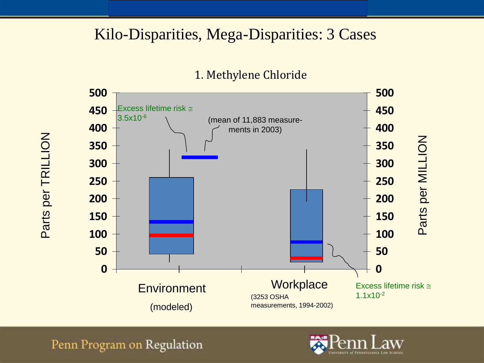## Kilo-Disparities, Mega-Disparities: 3 Cases





Penn Program on Regulation

Parts per TRILLION

Parts per TRILLION

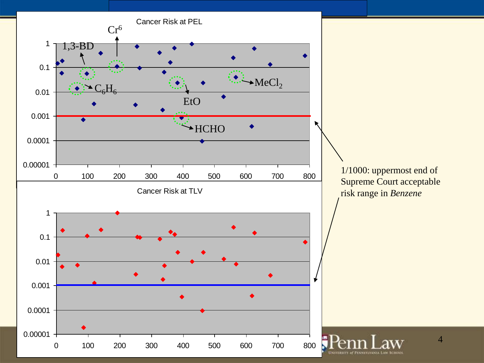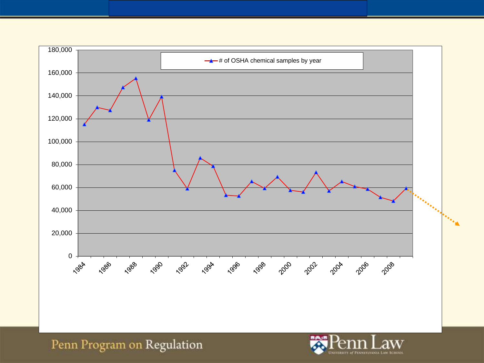

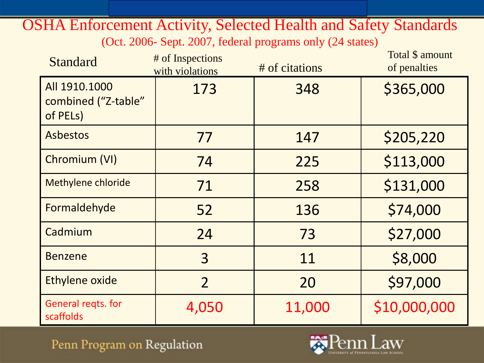OSHA Enforcement Activity, Selected Health and Safety Standards (Oct. 2006- Sept. 2007, federal programs only (24 states)

| <b>Standard</b>                                  | # of Inspections<br>with violations | # of citations | Total \$ amount<br>of penalties |
|--------------------------------------------------|-------------------------------------|----------------|---------------------------------|
| All 1910.1000<br>combined ("Z-table"<br>of PELs) | 173                                 | 348            | \$365,000                       |
| <b>Asbestos</b>                                  | 77                                  | 147            | \$205,220                       |
| Chromium (VI)                                    | 74                                  | 225            | \$113,000                       |
| Methylene chloride                               | 71                                  | 258            | \$131,000                       |
| Formaldehyde                                     | 52                                  | 136            | \$74,000                        |
| Cadmium                                          | 24                                  | 73             | \$27,000                        |
| <b>Benzene</b>                                   | 3                                   | 11             | \$8,000                         |
| Ethylene oxide                                   | $\overline{2}$                      | 20             | \$97,000                        |
| General regts. for<br>scaffolds                  | 4,050                               | 11,000         | \$10,000,000                    |

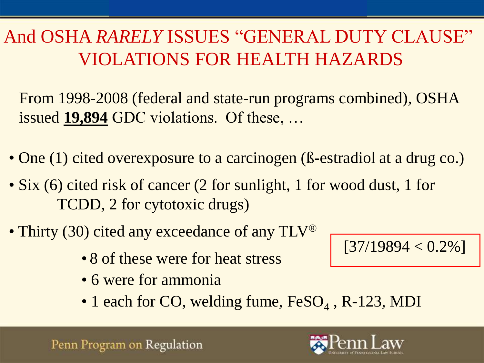# And OSHA *RARELY* ISSUES "GENERAL DUTY CLAUSE" VIOLATIONS FOR HEALTH HAZARDS

From 1998-2008 (federal and state-run programs combined), OSHA issued **19,894** GDC violations. Of these, …

- One (1) cited overexposure to a carcinogen (ß-estradiol at a drug co.)
- Six (6) cited risk of cancer (2 for sunlight, 1 for wood dust, 1 for TCDD, 2 for cytotoxic drugs)
- Thirty (30) cited any exceedance of any TLV<sup>®</sup>
	- 8 of these were for heat stress
	- 6 were for ammonia
	- 1 each for CO, welding fume, FeSO<sub>4</sub>, R-123, MDI





 $[37/19894 < 0.2\%]$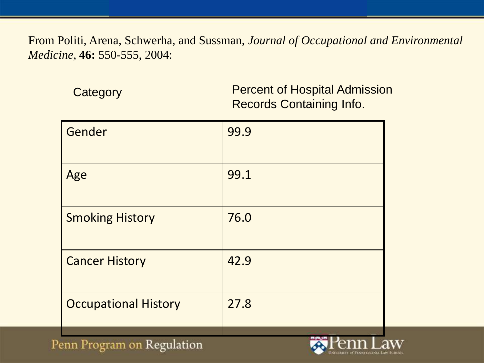From Politi, Arena, Schwerha, and Sussman, *Journal of Occupational and Environmental Medicine,* **46:** 550-555, 2004:

| Category | <b>Percent of Hospital Admission</b> |
|----------|--------------------------------------|
|          | <b>Records Containing Info.</b>      |

| Gender                      | 99.9 |
|-----------------------------|------|
| Age                         | 99.1 |
| <b>Smoking History</b>      | 76.0 |
| <b>Cancer History</b>       | 42.9 |
| <b>Occupational History</b> | 27.8 |

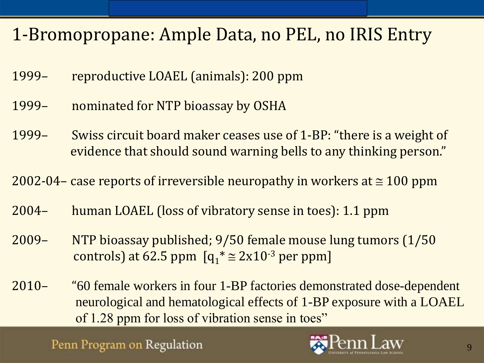# 1-Bromopropane: Ample Data, no PEL, no IRIS Entry

- 1999– reproductive LOAEL (animals): 200 ppm
- 1999– nominated for NTP bioassay by OSHA
- 1999– Swiss circuit board maker ceases use of 1-BP: "there is a weight of evidence that should sound warning bells to any thinking person."

2002-04– case reports of irreversible neuropathy in workers at  $\approx$  100 ppm

- 2004– human LOAEL (loss of vibratory sense in toes): 1.1 ppm
- 2009– NTP bioassay published; 9/50 female mouse lung tumors (1/50 controls) at 62.5 ppm  $[q_1^* \cong 2x10^{-3}$  per ppm]
- 2010– "60 female workers in four 1-BP factories demonstrated dose-dependent neurological and hematological effects of 1-BP exposure with a LOAEL of 1.28 ppm for loss of vibration sense in toes"

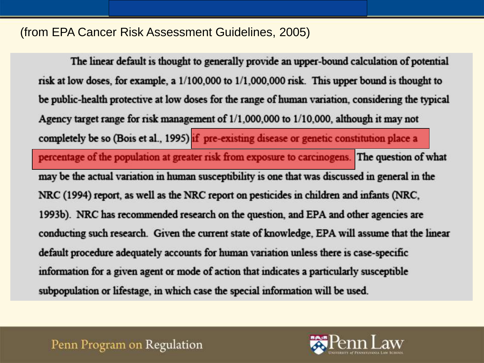#### (from EPA Cancer Risk Assessment Guidelines, 2005)

The linear default is thought to generally provide an upper-bound calculation of potential risk at low doses, for example, a  $1/100,000$  to  $1/1,000,000$  risk. This upper bound is thought to be public-health protective at low doses for the range of human variation, considering the typical Agency target range for risk management of 1/1,000,000 to 1/10,000, although it may not completely be so (Bois et al., 1995) if pre-existing disease or genetic constitution place a percentage of the population at greater risk from exposure to carcinogens. The question of what may be the actual variation in human susceptibility is one that was discussed in general in the NRC (1994) report, as well as the NRC report on pesticides in children and infants (NRC, 1993b). NRC has recommended research on the question, and EPA and other agencies are conducting such research. Given the current state of knowledge, EPA will assume that the linear default procedure adequately accounts for human variation unless there is case-specific information for a given agent or mode of action that indicates a particularly susceptible subpopulation or lifestage, in which case the special information will be used.

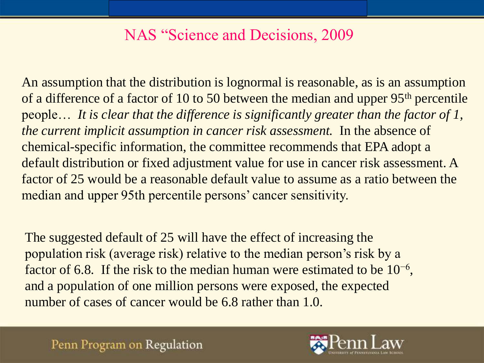## NAS "Science and Decisions, 2009

An assumption that the distribution is lognormal is reasonable, as is an assumption of a difference of a factor of 10 to 50 between the median and upper 95th percentile people… *It is clear that the difference is significantly greater than the factor of 1, the current implicit assumption in cancer risk assessment.* In the absence of chemical-specific information, the committee recommends that EPA adopt a default distribution or fixed adjustment value for use in cancer risk assessment. A factor of 25 would be a reasonable default value to assume as a ratio between the median and upper 95th percentile persons' cancer sensitivity.

The suggested default of 25 will have the effect of increasing the population risk (average risk) relative to the median person's risk by a factor of 6.8. If the risk to the median human were estimated to be  $10^{-6}$ , and a population of one million persons were exposed, the expected number of cases of cancer would be 6.8 rather than 1.0.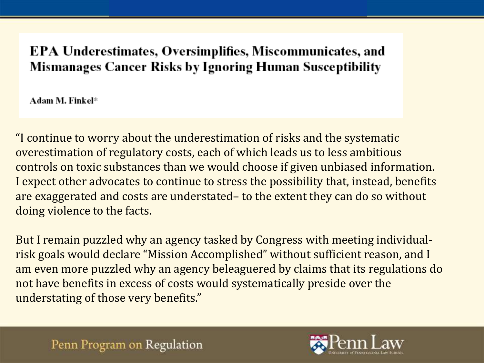### EPA Underestimates, Oversimplifies, Miscommunicates, and **Mismanages Cancer Risks by Ignoring Human Susceptibility**

Adam M. Finkel\*

"I continue to worry about the underestimation of risks and the systematic overestimation of regulatory costs, each of which leads us to less ambitious controls on toxic substances than we would choose if given unbiased information. I expect other advocates to continue to stress the possibility that, instead, benefits are exaggerated and costs are understated– to the extent they can do so without doing violence to the facts.

But I remain puzzled why an agency tasked by Congress with meeting individualrisk goals would declare "Mission Accomplished" without sufficient reason, and I am even more puzzled why an agency beleaguered by claims that its regulations do not have benefits in excess of costs would systematically preside over the understating of those very benefits."

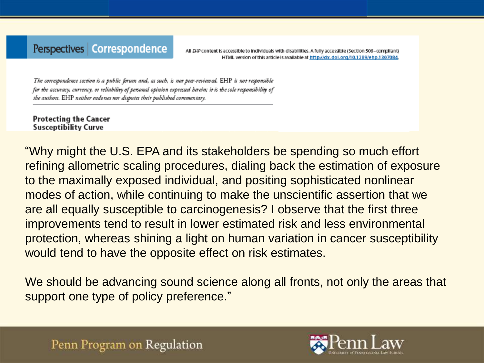#### Perspectives | Correspondence

All EHP content is accessible to individuals with disabilities. A fully accessible (Section 508–compliant) HTML version of this article is available at http://dx.doi.org/10.1289/ehp.1307084.

The correspondence section is a public forum and, as such, is not peer-reviewed. EHP is not responsible for the accuracy, currency, or reliability of personal opinion expressed herein; it is the sole responsibility of the authors. EHP neither endorses nor disputes their published commentary.

**Protecting the Cancer Susceptibility Curve** 

"Why might the U.S. EPA and its stakeholders be spending so much effort refining allometric scaling procedures, dialing back the estimation of exposure to the maximally exposed individual, and positing sophisticated nonlinear modes of action, while continuing to make the unscientific assertion that we are all equally susceptible to carcinogenesis? I observe that the first three improvements tend to result in lower estimated risk and less environmental protection, whereas shining a light on human variation in cancer susceptibility would tend to have the opposite effect on risk estimates.

We should be advancing sound science along all fronts, not only the areas that support one type of policy preference."